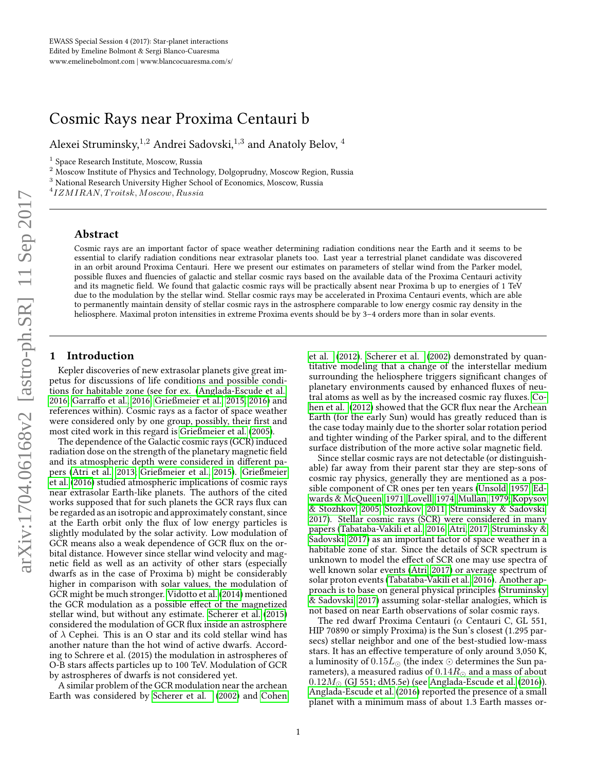# Cosmic Rays near Proxima Centauri b

Alexei Struminsky, $^{1,2}$  Andrei Sadovski, $^{1,3}$  and Anatoly Belov,  $^4$ 

<sup>2</sup> Moscow Institute of Physics and Technology, Dolgoprudny, Moscow Region, Russia

<sup>3</sup> National Research University Higher School of Economics, Moscow, Russia

 $^{4}$ IZMIRAN, Troitsk, Moscow, Russia

### Abstract

Cosmic rays are an important factor of space weather determining radiation conditions near the Earth and it seems to be essential to clarify radiation conditions near extrasolar planets too. Last year a terrestrial planet candidate was discovered in an orbit around Proxima Centauri. Here we present our estimates on parameters of stellar wind from the Parker model, possible fluxes and fluencies of galactic and stellar cosmic rays based on the available data of the Proxima Centauri activity and its magnetic field. We found that galactic cosmic rays will be practically absent near Proxima b up to energies of 1 TeV due to the modulation by the stellar wind. Stellar cosmic rays may be accelerated in Proxima Centauri events, which are able to permanently maintain density of stellar cosmic rays in the astrosphere comparable to low energy cosmic ray density in the heliosphere. Maximal proton intensities in extreme Proxima events should be by 3-4 orders more than in solar events.

### 1 Introduction

Kepler discoveries of new extrasolar planets give great impetus for discussions of life conditions and possible conditions for habitable zone (see for ex. [\(Anglada-Escude et al.,](#page-3-0) [2016;](#page-3-0) Garraffo et al., 2016; [Grießmeier et al., 2015,](#page-3-2) [2016\)](#page-3-3) and references within). Cosmic rays as a factor of space weather were considered only by one group, possibly, their first and most cited work in this regard is [Grießmeier et al.](#page-3-4) [\(2005\)](#page-3-4).

The dependence of the Galactic cosmic rays (GCR) induced radiation dose on the strength of the planetary magnetic field and its atmospheric depth were considered in different papers [\(Atri et al., 2013;](#page-3-5) [Grießmeier et al., 2015\)](#page-3-2). [Grießmeier](#page-3-3) [et al.](#page-3-3) [\(2016\)](#page-3-3) studied atmospheric implications of cosmic rays near extrasolar Earth-like planets. The authors of the cited works supposed that for such planets the GCR rays flux can be regarded as an isotropic and approximately constant, since at the Earth orbit only the flux of low energy particles is slightly modulated by the solar activity. Low modulation of GCR means also a weak dependence of GCR flux on the orbital distance. However since stellar wind velocity and magnetic field as well as an activity of other stars (especially dwarfs as in the case of Proxima b) might be considerably higher in comparison with solar values, the modulation of GCR might be much stronger. [Vidotto et al.](#page-3-6) [\(2014\)](#page-3-6) mentioned the GCR modulation as a possible effect of the magnetized stellar wind, but without any estimate. [Scherer et al.](#page-3-7) [\(2015\)](#page-3-7) considered the modulation of GCR flux inside an astrosphere of  $\lambda$  Cephei. This is an O star and its cold stellar wind has another nature than the hot wind of active dwarfs. According to Schrere et al. (2015) the modulation in astrospheres of O-B stars affects particles up to 100 TeV. Modulation of GCR by astrospheres of dwarfs is not considered yet.

A similar problem of the GCR modulation near the archean Earth was considered by [Scherer et al.](#page-3-8) [\(2002\)](#page-3-8) and [Cohen](#page-3-9)

[et al.](#page-3-9) [\(2012\)](#page-3-9). [Scherer et al.](#page-3-8) [\(2002\)](#page-3-8) demonstrated by quantitative modeling that a change of the interstellar medium surrounding the heliosphere triggers significant changes of planetary environments caused by enhanced fluxes of neu-tral atoms as well as by the increased cosmic ray fluxes. [Co](#page-3-9)[hen et al.](#page-3-9) [\(2012\)](#page-3-9) showed that the GCR flux near the Archean Earth (for the early Sun) would has greatly reduced than is the case today mainly due to the shorter solar rotation period and tighter winding of the Parker spiral, and to the different surface distribution of the more active solar magnetic field.

Since stellar cosmic rays are not detectable (or distinguishable) far away from their parent star they are step-sons of cosmic ray physics, generally they are mentioned as a possible component of CR ones per ten years [\(Unsold, 1957;](#page-3-10) [Ed](#page-3-11)[wards & McQueen, 1971;](#page-3-11) [Lovell, 1974;](#page-3-12) [Mullan, 1979;](#page-3-13) [Kopysov](#page-3-14) [& Stozhkov, 2005;](#page-3-14) [Stozhkov, 2011;](#page-3-15) [Struminsky & Sadovski,](#page-3-16) [2017\)](#page-3-16). Stellar cosmic rays (SCR) were considered in many papers [\(Tabataba-Vakili et al., 2016;](#page-3-17) [Atri, 2017;](#page-3-18) [Struminsky &](#page-3-16) [Sadovski, 2017\)](#page-3-16) as an important factor of space weather in a habitable zone of star. Since the details of SCR spectrum is unknown to model the effect of SCR one may use spectra of well known solar events [\(Atri, 2017\)](#page-3-18) or average spectrum of solar proton events [\(Tabataba-Vakili et al., 2016\)](#page-3-17). Another approach is to base on general physical principles [\(Struminsky](#page-3-16) [& Sadovski, 2017\)](#page-3-16) assuming solar-stellar analogies, which is not based on near Earth observations of solar cosmic rays.

The red dwarf Proxima Centauri ( $\alpha$  Centauri C, GL 551, HIP 70890 or simply Proxima) is the Sun's closest (1.295 parsecs) stellar neighbor and one of the best-studied low-mass stars. It has an effective temperature of only around 3,050 K, a luminosity of  $0.15L_{\odot}$  (the index  $\odot$  determines the Sun parameters), a measured radius of  $0.14R_{\odot}$  and a mass of about  $0.12M_{\odot}$  (GJ 551; dM5.5e) (see [Anglada-Escude et al.](#page-3-0) [\(2016\)](#page-3-0)). [Anglada-Escude et al.](#page-3-0) [\(2016\)](#page-3-0) reported the presence of a small planet with a minimum mass of about 1.3 Earth masses or-

<sup>&</sup>lt;sup>1</sup> Space Research Institute, Moscow, Russia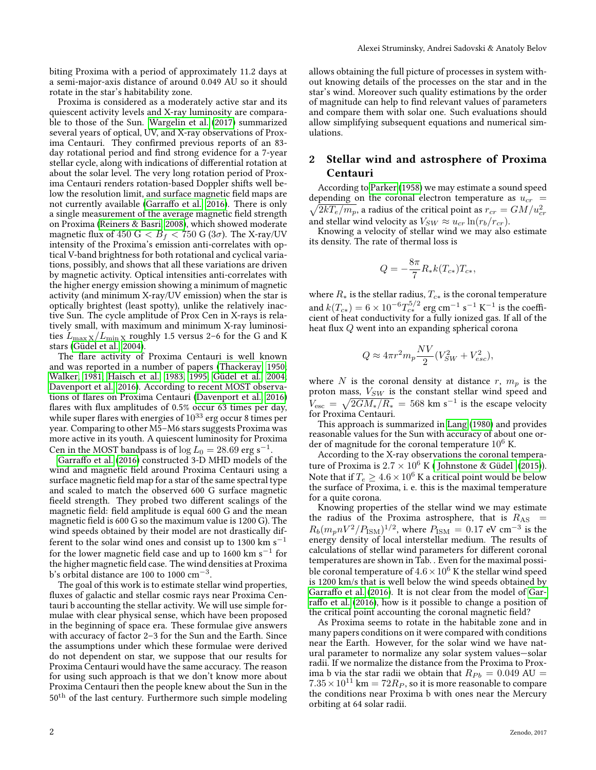biting Proxima with a period of approximately 11.2 days at a semi-major-axis distance of around 0.049 AU so it should rotate in the star's habitability zone.

Proxima is considered as a moderately active star and its quiescent activity levels and X-ray luminosity are comparable to those of the Sun. [Wargelin et al.](#page-3-19) [\(2017\)](#page-3-19) summarized several years of optical, UV, and X-ray observations of Proxima Centauri. They confirmed previous reports of an 83day rotational period and find strong evidence for a 7-year stellar cycle, along with indications of differential rotation at about the solar level. The very long rotation period of Proxima Centauri renders rotation-based Doppler shifts well below the resolution limit, and surface magnetic field maps are not currently available (Garraffo et al., 2016). There is only a single measurement of the average magnetic field strength on Proxima [\(Reiners & Basri, 2008\)](#page-3-20), which showed moderate magnetic flux of 450 G  $< B_f < 750$  G (3 $\sigma$ ). The X-ray/UV intensity of the Proxima's emission anti-correlates with optical V-band brightness for both rotational and cyclical variations, possibly, and shows that all these variations are driven by magnetic activity. Optical intensities anti-correlates with the higher energy emission showing a minimum of magnetic activity (and minimum X-ray/UV emission) when the star is optically brightest (least spotty), unlike the relatively inactive Sun. The cycle amplitude of Prox Cen in X-rays is relatively small, with maximum and minimum X-ray luminosities  $L_{\rm max\,X}/L_{\rm min\,X}$  roughly 1.5 versus 2–6 for the G and K stars [\(Güdel et al., 2004\)](#page-3-21).

The flare activity of Proxima Centauri is well known and was reported in a number of papers [\(Thackeray, 1950;](#page-3-22) [Walker, 1981;](#page-3-23) [Haisch et al., 1983,](#page-3-24) [1995;](#page-3-25) [Güdel et al., 2004;](#page-3-21) [Davenport et al., 2016\)](#page-3-26). According to recent MOST observa-tions of flares on Proxima Centauri [\(Davenport et al., 2016\)](#page-3-26) flares with flux amplitudes of  $0.5\%$  occur 63 times per day, while super flares with energies of  $10^{33}$  erg occur 8 times per year. Comparing to other M5–M6 stars suggests Proxima was more active in its youth. A quiescent luminosity for Proxima Cen in the MOST bandpass is of  $\log L_0 = 28.69$  erg s<sup>−1</sup>.

Garraffo et al. [\(2016\)](#page-3-1) constructed 3-D MHD models of the wind and magnetic field around Proxima Centauri using a surface magnetic field map for a star of the same spectral type and scaled to match the observed 600 G surface magnetic fieeld strength. They probed two different scalings of the magnetic field: field amplitude is equal 600 G and the mean magnetic field is 600 G so the maximum value is 1200 G). The wind speeds obtained by their model are not drastically different to the solar wind ones and consist up to 1300 km s<sup>-1</sup> for the lower magnetic field case and up to 1600  $\rm km~s^{-1}$  for the higher magnetic field case. The wind densities at Proxima b's orbital distance are 100 to 1000  $\rm cm^{-3}.$ 

The goal of this work is to estimate stellar wind properties, fluxes of galactic and stellar cosmic rays near Proxima Centauri b accounting the stellar activity. We will use simple formulae with clear physical sense, which have been proposed in the beginning of space era. These formulae give answers with accuracy of factor 2–3 for the Sun and the Earth. Since the assumptions under which these formulae were derived do not dependent on star, we suppose that our results for Proxima Centauri would have the same accuracy. The reason for using such approach is that we don't know more about Proxima Centauri then the people knew about the Sun in the  $50<sup>th</sup>$  of the last century. Furthermore such simple modeling allows obtaining the full picture of processes in system without knowing details of the processes on the star and in the star's wind. Moreover such quality estimations by the order of magnitude can help to find relevant values of parameters and compare them with solar one. Such evaluations should allow simplifying subsequent equations and numerical simulations.

## 2 Stellar wind and astrosphere of Proxima Centauri

According to [Parker](#page-3-27) [\(1958\)](#page-3-27) we may estimate a sound speed depending on the coronal electron temperature as  $u_{cr}$  =  $\sqrt{2kT_e/m_p}$  , a radius of the critical point as  $r_{cr} = GM/u_{cr}^2$ and stellar wind velocity as  $V_{SW} \approx u_{cr} \ln(r_b/r_{cr})$ .

Knowing a velocity of stellar wind we may also estimate its density. The rate of thermal loss is

$$
Q=-\frac{8\pi}{7}R_*k(T_{c*})T_{c*},
$$

where  $R_*$  is the stellar radius,  $T_{c*}$  is the coronal temperature and  $k(T_{c*}) = 6 \times 10^{-6} T_{c*}^{5/2}$  erg cm $^{-1}$  s $^{-1}$  K $^{-1}$  is the coefficient of heat conductivity for a fully ionized gas. If all of the heat flux  $Q$  went into an expanding spherical corona

$$
Q \approx 4\pi r^2 m_p \frac{NV}{2} (V_{SW}^2 + V_{esc}^2),
$$

where N is the coronal density at distance r,  $m_p$  is the proton mass,  $V_{SW}$  is the constant stellar wind speed and  $V_{\rm esc} = \sqrt{2GM_*/R_*} = 568$  km s<sup>-1</sup> is the escape velocity for Proxima Centauri.

This approach is summarized in [Lang](#page-3-28) [\(1980\)](#page-3-28) and provides reasonable values for the Sun with accuracy of about one order of magnitude for the coronal temperature  $10^6$  K.

According to the X-ray observations the coronal temperature of Proxima is  $2.7 \times 10^6$  K (Johnstone & Güdel [\(2015\)](#page-3-29)). Note that if  $T_e \geq 4.6 \times 10^6$  K a critical point would be below the surface of Proxima, i. e. this is the maximal temperature for a quite corona.

Knowing properties of the stellar wind we may estimate the radius of the Proxima astrosphere, that is  $R_{AS}$  =  $R_b(m_p nV^2/P_{\rm ISM})^{1/2}$ , where  $P_{\rm ISM} = 0.17$  eV cm<sup>-3</sup> is the energy density of local interstellar medium. The results of calculations of stellar wind parameters for different coronal temperatures are shown in Tab. . Even for the maximal possible coronal temperature of  $4.6 \times 10^6$  K the stellar wind speed is 1200 km/s that is well below the wind speeds obtained by Garraffo et al. [\(2016\)](#page-3-1). It is not clear from the model of [Gar-](#page-3-1)raffo et al. [\(2016\)](#page-3-1), how is it possible to change a position of the critical point accounting the coronal magnetic field?

As Proxima seems to rotate in the habitable zone and in many papers conditions on it were compared with conditions near the Earth. However, for the solar wind we have natural parameter to normalize any solar system values—solar radii. If we normalize the distance from the Proxima to Proxima b via the star radii we obtain that  $R_{Pb} = 0.049$  AU =  $7.35 \times 10^{11}$  km =  $72R_P$ , so it is more reasonable to compare the conditions near Proxima b with ones near the Mercury orbiting at 64 solar radii.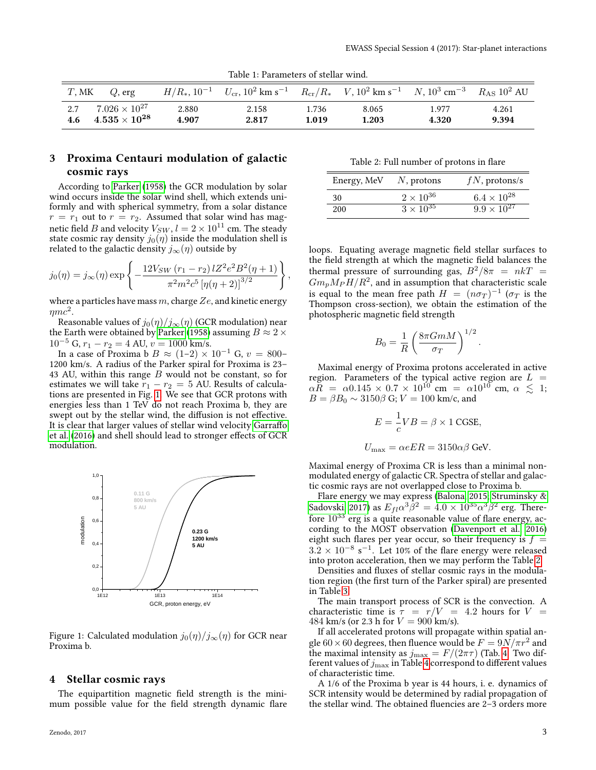| Table 1: Parameters of stellar wind. |
|--------------------------------------|
|--------------------------------------|

| T. MK | $Q$ , erg                      |       | $H/R_*, 10^{-1}$ $U_{cr}, 10^2$ km s <sup>-1</sup> $R_{cr}/R_*$ $V, 10^2$ km s <sup>-1</sup> $N, 10^3$ cm <sup>-3</sup> $R_{AS}$ 10 <sup>2</sup> AU |       |       |       |       |
|-------|--------------------------------|-------|-----------------------------------------------------------------------------------------------------------------------------------------------------|-------|-------|-------|-------|
| 2.7   | $7.026 \times 10^{27}$         | 2.880 | 2.158                                                                                                                                               | 1.736 | 8.065 | 1.977 | 4.261 |
|       | $4.6\quad 4.535\times 10^{28}$ | 4.907 | 2.817                                                                                                                                               | 1.019 | 1.203 | 4.320 | 9.394 |

# 3 Proxima Centauri modulation of galactic cosmic rays

According to [Parker](#page-3-30) [\(1958\)](#page-3-30) the GCR modulation by solar wind occurs inside the solar wind shell, which extends uniformly and with spherical symmetry, from a solar distance  $r = r_1$  out to  $r = r_2$ . Assumed that solar wind has magnetic field  $B$  and velocity  $V_{SW}$  ,  $l=2\times 10^{11}$  cm. The steady state cosmic ray density  $j_0(\eta)$  inside the modulation shell is related to the galactic density  $j_{\infty}(\eta)$  outside by

$$
j_0(\eta) = j_{\infty}(\eta) \exp \left\{ -\frac{12V_{SW} (r_1 - r_2) l Z^2 e^2 B^2 (\eta + 1)}{\pi^2 m^2 c^5 \left[ \eta (\eta + 2) \right]^{3/2}} \right\},\,
$$

where a particles have mass  $m$ , charge  $Ze$ , and kinetic energy  $\eta mc^2$ .

Reasonable values of  $j_0(\eta)/j_\infty(\eta)$  (GCR modulation) near the Earth were obtained by [Parker](#page-3-30) [\(1958\)](#page-3-30) assuming  $B \approx 2 \times$  $10^{-5}$  G,  $r_1 - r_2 = 4$  AU,  $v = 1000$  km/s.

In a case of Proxima b $B \approx (1–2) \times 10^{-1}$  G,  $v = 800–$ 1200 km/s. A radius of the Parker spiral for Proxima is 23– 43 AU, within this range  $B$  would not be constant, so for estimates we will take  $r_1 - r_2 = 5$  AU. Results of calculations are presented in Fig. [1.](#page-2-0) We see that GCR protons with energies less than 1 TeV do not reach Proxima b, they are swept out by the stellar wind, the diffusion is not effective. It is clear that larger values of stellar wind velocity Garraffo [et al.](#page-3-1) [\(2016\)](#page-3-1) and shell should lead to stronger effects of GCR modulation.



<span id="page-2-0"></span>Figure 1: Calculated modulation  $j_0(\eta)/j_{\infty}(\eta)$  for GCR near Proxima b.

#### 4 Stellar cosmic rays

The equipartition magnetic field strength is the minimum possible value for the field strength dynamic flare

<span id="page-2-1"></span>

| Table 2: Full number of protons in flare |  |
|------------------------------------------|--|
|------------------------------------------|--|

| Energy, MeV | $N$ , protons      | $fN$ , protons/s     |
|-------------|--------------------|----------------------|
| 30          | $2 \times 10^{36}$ | $6.4 \times 10^{28}$ |
| 200         | $3 \times 10^{35}$ | $9.9 \times 10^{27}$ |

loops. Equating average magnetic field stellar surfaces to the field strength at which the magnetic field balances the thermal pressure of surrounding gas,  $B^2/8\pi = nkT$  $Gm_p M_P H/R^2$ , and in assumption that characteristic scale is equal to the mean free path  $H = (n\sigma_T)^{-1}$  ( $\sigma_T$  is the Thompson cross-section), we obtain the estimation of the photospheric magnetic field strength

$$
B_0 = \frac{1}{R} \left( \frac{8\pi G m M}{\sigma_T} \right)^{1/2}.
$$

Maximal energy of Proxima protons accelerated in active region. Parameters of the typical active region are  $L =$  $\alpha R = \alpha 0.145 \times 0.7 \times 10^{10}$  cm =  $\alpha 10^{10}$  cm,  $\alpha \leq 1$ ;  $B = \beta B_0 \sim 3150\beta$  G;  $V = 100$  km/c, and

$$
E = \frac{1}{c}VB = \beta \times 1 \text{ CGSE},
$$
  

$$
U_{\text{max}} = \alpha eER = 3150\alpha\beta \text{ GeV}
$$

Maximal energy of Proxima CR is less than a minimal nonmodulated energy of galactic CR. Spectra of stellar and galactic cosmic rays are not overlapped close to Proxima b.

Flare energy we may express [\(Balona, 2015;](#page-3-31) [Struminsky &](#page-3-16) [Sadovski, 2017\)](#page-3-16) as  $E_{fl}\alpha^3\bar{\beta}^2\,=\,4.0\times 10^{35}\alpha^3\beta^2$  erg. Therefore  $10^{33}$  erg is a quite reasonable value of flare energy, according to the MOST observation [\(Davenport et al., 2016\)](#page-3-26) eight such flares per year occur, so their frequency is  $f =$  $3.2 \times 10^{-8}$  s<sup>-1</sup>. Let 10% of the flare energy were released into proton acceleration, then we may perform the Table [2.](#page-2-1)

Densities and fluxes of stellar cosmic rays in the modulation region (the first turn of the Parker spiral) are presented in Table [3.](#page-3-32)

The main transport process of SCR is the convection. A characteristic time is  $\tau = r/V = 4.2$  hours for  $V =$ 484 km/s (or 2.3 h for  $V = 900$  km/s).

If all accelerated protons will propagate within spatial angle  $60 \times 60$  degrees, then fluence would be  $F = 9N/\pi r^2$  and the maximal intensity as  $j_{\text{max}} = F/(2\pi\tau)$  (Tab. [4.](#page-3-33) Two different values of  $j_{\rm max}$  in Table [4](#page-3-33) correspond to different values of characteristic time.

A 1/6 of the Proxima b year is 44 hours, i. e. dynamics of SCR intensity would be determined by radial propagation of the stellar wind. The obtained fluencies are  $2-3$  orders more